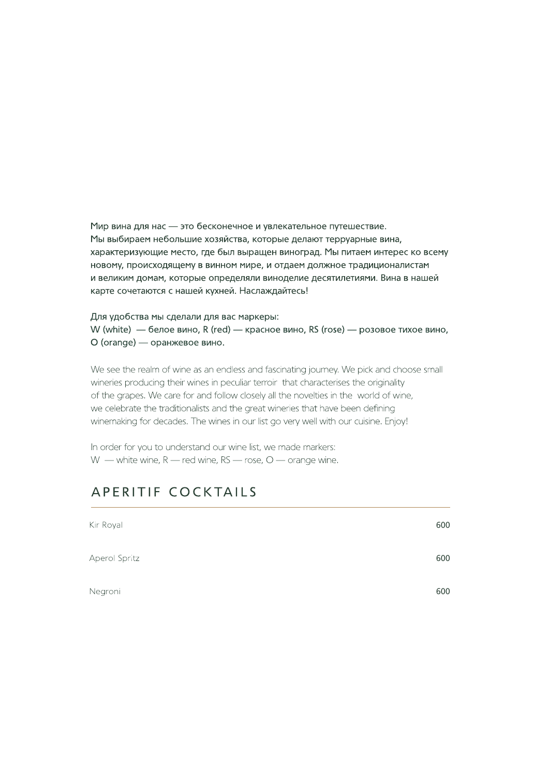Мир вина для нас - это бесконечное и увлекательное путешествие. Мы выбираем небольшие хозяйства, которые делают терруарные вина, характеризующие место, где был выращен виноград. Мы питаем интерес ко всему новому, происходящему в винном мире, и отдаем должное традиционалистам и великим домам, которые определяли виноделие десятилетиями. Вина в нашей карте сочетаются с нашей кухней. Наслаждайтесь!

Для удобства мы сделали для вас маркеры: W (white) — белое вино, R (red) — красное вино, RS (rose) — розовое тихое вино, O (orange) — оранжевое вино.

We see the realm of wine as an endless and fascinating journey. We pick and choose small wineries producing their wines in peculiar terroir that characterises the originality of the grapes. We care for and follow closely all the novelties in the world of wine, we celebrate the traditionalists and the great wineries that have been defining winemaking for decades. The wines in our list go very well with our cuisine. Enjoy!

In order for you to understand our wine list, we made markers: W — white wine,  $R$  — red wine,  $RS$  — rose,  $Q$  — orange wine.

#### APERITIF COCKTAILS

| Kir Royal     | 600 |
|---------------|-----|
| Aperol Spritz | 600 |
| Negroni       | 600 |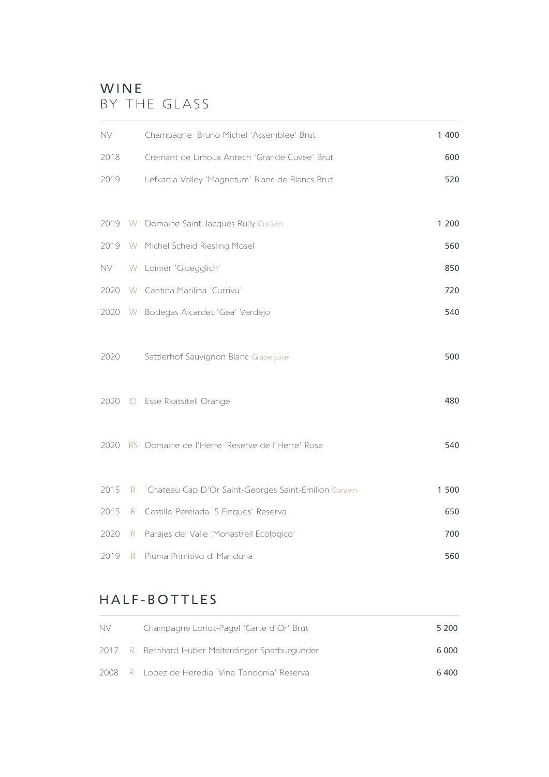#### WINE BY THE GLASS

| <b>NV</b> |                 | Champagne Bruno Michel 'Assemblee' Brut              | 1 400 |
|-----------|-----------------|------------------------------------------------------|-------|
| 2018      |                 | Cremant de Limoux Antech 'Grande Cuvee' Brut         | 600   |
| 2019      |                 | Lefkadia Valley 'Magnatum' Blanc de Blancs Brut      | 520   |
|           |                 |                                                      |       |
|           |                 | 2019 W Domaine Saint-Jacques Rully Coravin           | 1 200 |
| 2019      |                 | W Michel Scheid Riesling Mosel                       | 560   |
| NV -      |                 | W Loimer 'Gluegglich'                                | 850   |
|           |                 | 2020 W Cantina Marilina 'Currivu'                    | 720   |
|           |                 | 2020 W Bodegas Alcardet 'Gea' Verdejo                | 540   |
| 2020      |                 | Sattlerhof Sauvignon Blanc Grape juice               | 500   |
| 2020      |                 | O Esse Rkatsiteli Orange                             | 480   |
|           |                 | 2020 RS Domaine de l'Herre 'Reserve de l'Herre' Rose | 540   |
| 2015      | R               | Chateau Cap D'Or Saint-Georges Saint-Emilion Coravin | 1 500 |
| 2015      |                 | R Castillo Perelada '5 Finques' Reserva              | 650   |
| 2020      | R               | Parajes del Valle 'Monastrell Ecologico'             | 700   |
| 2019      | $R_{\parallel}$ | Piuma Primitivo di Manduria                          | 560   |

#### HALF-BOTTLES

| <b>NV</b> | Champagne Loriot-Pagel 'Carte d'Or' Brut         | 5 200 |
|-----------|--------------------------------------------------|-------|
|           | 2017 R Bernhard Huber Malterdinger Spatburgunder | 6 000 |
|           | 2008 R Lopez de Heredia 'Vina Tondonia' Reserva  | 6 400 |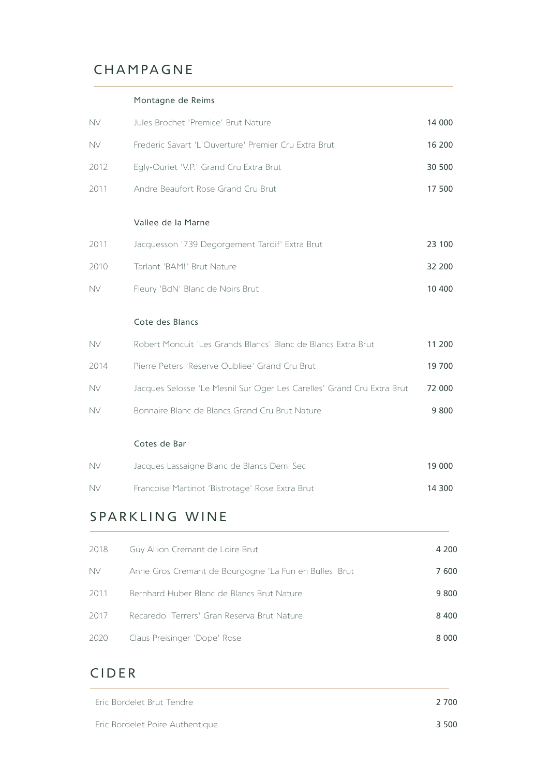## CHAMPAGNE

#### Montagne de Reims

| <b>NV</b> | Jules Brochet 'Premice' Brut Nature                                    | 14 000  |
|-----------|------------------------------------------------------------------------|---------|
| <b>NV</b> | Frederic Savart 'L'Ouverture' Premier Cru Extra Brut                   | 16 200  |
| 2012      | Egly-Ouriet 'V.P.' Grand Cru Extra Brut                                | 30 500  |
| 2011      | Andre Beaufort Rose Grand Cru Brut                                     | 17 500  |
|           | Vallee de la Marne                                                     |         |
| 2011      | Jacquesson '739 Degorgement Tardif' Extra Brut                         | 23 100  |
| 2010      | Tarlant 'BAM!' Brut Nature                                             | 32 200  |
| <b>NV</b> | Fleury 'BdN' Blanc de Noirs Brut                                       | 10 400  |
|           | Cote des Blancs                                                        |         |
| <b>NV</b> | Robert Moncuit 'Les Grands Blancs' Blanc de Blancs Extra Brut          | 11 200  |
| 2014      | Pierre Peters 'Reserve Oubliee' Grand Cru Brut                         | 19 700  |
| <b>NV</b> | Jacques Selosse 'Le Mesnil Sur Oger Les Carelles' Grand Cru Extra Brut | 72 000  |
| <b>NV</b> | Bonnaire Blanc de Blancs Grand Cru Brut Nature                         | 9 8 0 0 |
|           | Cotes de Bar                                                           |         |
| NV.       | Jacques Lassaigne Blanc de Blancs Demi Sec                             | 19 000  |

#### NV Francoise Martinot 'Bistrotage' Rose Extra Brut

### SPARKLING WINE

| 2018 | Guy Allion Cremant de Loire Brut                       | 4 200   |
|------|--------------------------------------------------------|---------|
| NV.  | Anne Gros Cremant de Bourgogne 'La Fun en Bulles' Brut | 7600    |
| 2011 | Bernhard Huber Blanc de Blancs Brut Nature             | 9 8 0 0 |
| 2017 | Recaredo 'Terrers' Gran Reserva Brut Nature            | 8 4 0 0 |
| 2020 | Claus Preisinger 'Dope' Rose                           | 8 0 0 0 |

14 300

#### CIDER

| Eric Bordelet Brut Tendre       | 2 700 |
|---------------------------------|-------|
| Eric Bordelet Poire Authentique | 3 500 |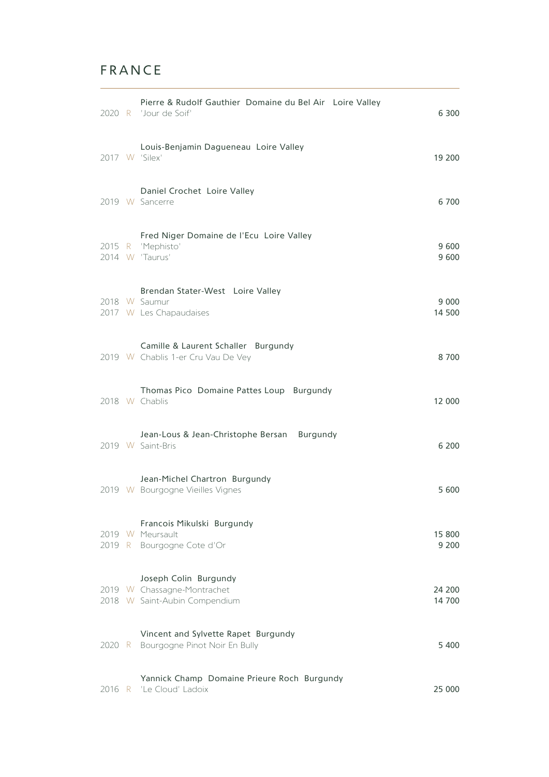## FRANCE

|  | Pierre & Rudolf Gauthier Domaine du Bel Air Loire Valley<br>2020 R 'Jour de Soif'     | 6 300             |
|--|---------------------------------------------------------------------------------------|-------------------|
|  | Louis-Benjamin Dagueneau Loire Valley<br>2017 W 'Silex'                               | 19 200            |
|  | Daniel Crochet Loire Valley<br>2019 W Sancerre                                        | 6 700             |
|  | Fred Niger Domaine de l'Ecu Loire Valley<br>2015 R 'Mephisto'<br>2014 W 'Taurus'      | 9 600<br>9 600    |
|  | Brendan Stater-West Loire Valley<br>2018 W Saumur<br>2017 W Les Chapaudaises          | 9 000<br>14 500   |
|  | Camille & Laurent Schaller Burgundy<br>2019 W Chablis 1-er Cru Vau De Vey             | 8700              |
|  | Thomas Pico Domaine Pattes Loup Burgundy<br>2018 W Chablis                            | 12 000            |
|  | Jean-Lous & Jean-Christophe Bersan Burgundy<br>2019 W Saint-Bris                      | 6 200             |
|  | Jean-Michel Chartron Burgundy<br>2019 W Bourgogne Vieilles Vignes                     | 5 600             |
|  | Francois Mikulski Burgundy<br>2019 W Meursault<br>2019 R Bourgogne Cote d'Or          | 15 800<br>9 2 0 0 |
|  | Joseph Colin Burgundy<br>2019 W Chassagne-Montrachet<br>2018 W Saint-Aubin Compendium | 24 200<br>14 700  |
|  | Vincent and Sylvette Rapet Burgundy<br>2020 R Bourgogne Pinot Noir En Bully           | 5 4 0 0           |
|  | Yannick Champ Domaine Prieure Roch Burgundy<br>2016 R 'Le Cloud' Ladoix               | 25 000            |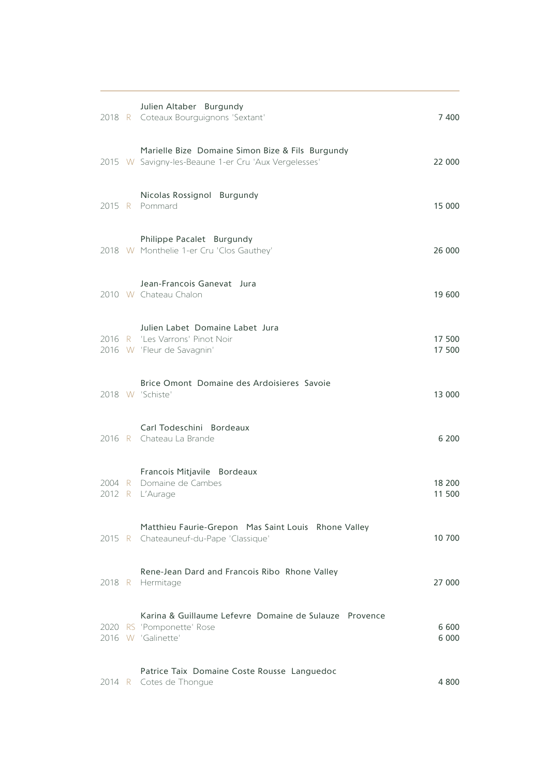|      |   | Julien Altaber Burgundy<br>2018 R Coteaux Bourguignons 'Sextant'                                          | 7 400            |
|------|---|-----------------------------------------------------------------------------------------------------------|------------------|
|      |   | Marielle Bize Domaine Simon Bize & Fils Burgundy<br>2015 W Savigny-les-Beaune 1-er Cru 'Aux Vergelesses'  | 22 000           |
|      |   | Nicolas Rossignol Burgundy<br>2015 R Pommard                                                              | 15 000           |
|      |   | Philippe Pacalet Burgundy<br>2018 W Monthelie 1-er Cru 'Clos Gauthey'                                     | 26 000           |
|      |   | Jean-Francois Ganevat Jura<br>2010 W Chateau Chalon                                                       | 19 600           |
|      |   | Julien Labet Domaine Labet Jura<br>2016 W 'Fleur de Savagnin'                                             | 17 500<br>17 500 |
|      |   | Brice Omont Domaine des Ardoisieres Savoie<br>2018 W 'Schiste'                                            | 13 000           |
|      |   | Carl Todeschini Bordeaux<br>2016 R Chateau La Brande                                                      | 6 200            |
| 2012 | R | Francois Mitjavile Bordeaux<br>2004 R Domaine de Cambes<br>L'Aurage                                       | 18 200<br>11 500 |
|      |   | Matthieu Faurie-Grepon Mas Saint Louis Rhone Valley<br>2015 R Chateauneuf-du-Pape 'Classique'             | 10 700           |
|      |   | Rene-Jean Dard and Francois Ribo Rhone Valley<br>2018 R Hermitage                                         | 27 000           |
|      |   | Karina & Guillaume Lefevre Domaine de Sulauze Provence<br>2020 RS 'Pomponette' Rose<br>2016 W 'Galinette' | 6 600<br>6 0 0 0 |
|      |   | Patrice Taix Domaine Coste Rousse Languedoc<br>2014 R Cotes de Thongue                                    | 4 800            |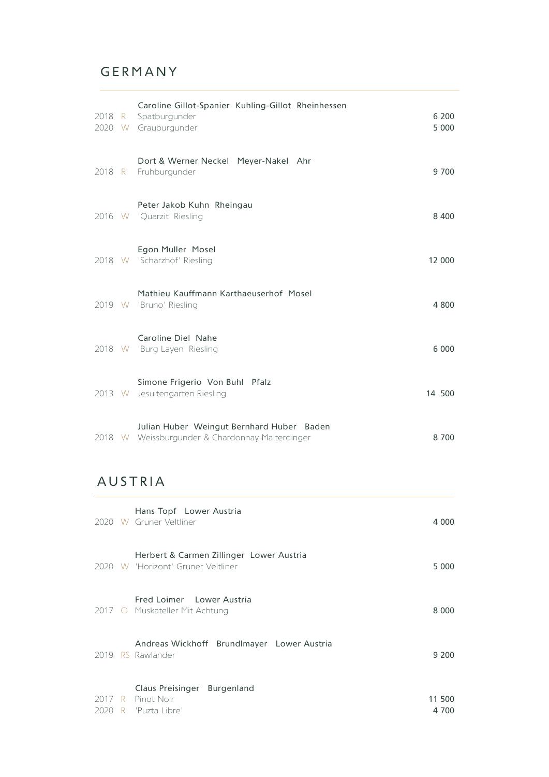## GERMANY

| 2018 R | Caroline Gillot-Spanier Kuhling-Gillot Rheinhessen<br>Spatburgunder<br>2020 W Grauburgunder  | 6 200<br>5 0 0 0 |
|--------|----------------------------------------------------------------------------------------------|------------------|
| 2018 R | Dort & Werner Neckel Meyer-Nakel Ahr<br>Fruhburgunder                                        | 9 700            |
|        | Peter Jakob Kuhn Rheingau<br>2016 W 'Quarzit' Riesling                                       | 8 4 0 0          |
|        | Egon Muller Mosel<br>2018 W 'Scharzhof' Riesling                                             | 12 000           |
|        | Mathieu Kauffmann Karthaeuserhof Mosel<br>2019 W 'Bruno' Riesling                            | 4 800            |
|        | Caroline Diel Nahe<br>2018 W 'Burg Layen' Riesling                                           | 6 0 0 0          |
| 2013 W | Simone Frigerio Von Buhl Pfalz<br>Jesuitengarten Riesling                                    | 14 500           |
|        | Julian Huber Weingut Bernhard Huber Baden<br>2018 W Weissburgunder & Chardonnay Malterdinger | 8 700            |

## AUSTRIA

|      |   | Hans Topf Lower Austria<br>2020 W Gruner Veltliner                             | 4 000           |
|------|---|--------------------------------------------------------------------------------|-----------------|
|      |   | Herbert & Carmen Zillinger Lower Austria<br>2020 W 'Horizont' Gruner Veltliner | 5 000           |
|      |   | Fred Loimer Lower Austria<br>2017 O Muskateller Mit Achtung                    | 8 0 0 0         |
|      |   | Andreas Wickhoff Brundlmayer Lower Austria<br>2019 RS Rawlander                | 9 200           |
| 2020 | R | Claus Preisinger Burgenland<br>2017 R Pinot Noir<br>"Puzta Libre"              | 11 500<br>4 700 |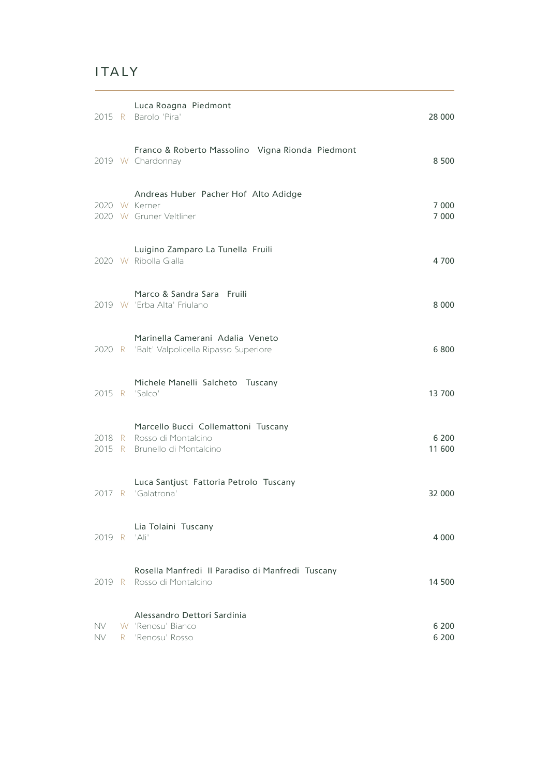## ITALY

**Contract Contract** 

|                  |    | Luca Roagna Piedmont<br>2015 R Barolo 'Pira'                                                       | 28 000             |
|------------------|----|----------------------------------------------------------------------------------------------------|--------------------|
|                  |    | Franco & Roberto Massolino Vigna Rionda Piedmont<br>2019 W Chardonnay                              | 8 500              |
|                  |    | Andreas Huber Pacher Hof Alto Adidge<br>2020 W Kerner<br>2020 W Gruner Veltliner                   | 7 0 0 0<br>7 0 0 0 |
|                  |    | Luigino Zamparo La Tunella Fruili<br>2020 W Ribolla Gialla                                         | 4 700              |
|                  |    | Marco & Sandra Sara Fruili<br>2019 W 'Erba Alta' Friulano                                          | 8 0 0 0            |
|                  |    | Marinella Camerani Adalia Veneto<br>2020 R 'Balt' Valpolicella Ripasso Superiore                   | 6 800              |
|                  |    | Michele Manelli Salcheto Tuscany<br>2015 R 'Salco'                                                 | 13 700             |
|                  |    | Marcello Bucci Collemattoni Tuscany<br>2018 R Rosso di Montalcino<br>2015 R Brunello di Montalcino | 6 200<br>11 600    |
|                  |    | Luca Santjust Fattoria Petrolo Tuscany<br>2017 R 'Galatrona'                                       | 32 000             |
| 2019 R           |    | Lia Tolaini Tuscany<br>'Ali'                                                                       | 4 0 0 0            |
|                  |    | Rosella Manfredi II Paradiso di Manfredi Tuscany<br>2019 R Rosso di Montalcino                     | 14 500             |
| NV.<br><b>NV</b> | R. | Alessandro Dettori Sardinia<br>W 'Renosu' Bianco<br>'Renosu' Rosso                                 | 6 200<br>6 200     |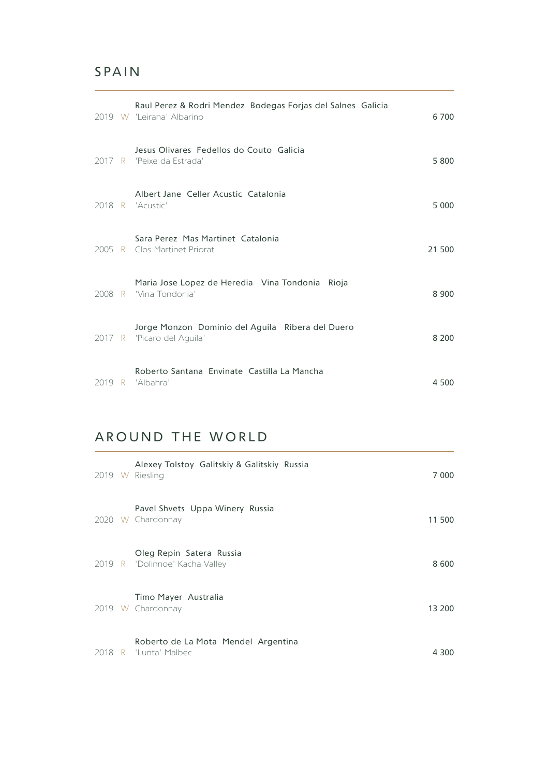#### SPAIN

|  | Raul Perez & Rodri Mendez Bodegas Forjas del Salnes Galicia<br>2019 W 'Leirana' Albarino | 6 700   |
|--|------------------------------------------------------------------------------------------|---------|
|  | Jesus Olivares Fedellos do Couto Galicia<br>2017 R 'Peixe da Estrada'                    | 5 800   |
|  | Albert Jane Celler Acustic Catalonia<br>2018 R 'Acustic'                                 | 5 0 0 0 |
|  | Sara Perez Mas Martinet Catalonia<br>2005 R Clos Martinet Priorat                        | 21 500  |
|  | Maria Jose Lopez de Heredia Vina Tondonia Rioja<br>2008 R 'Vina Tondonia'                | 8 9 0 0 |
|  | Jorge Monzon Dominio del Aguila Ribera del Duero<br>2017 R 'Picaro del Aguila'           | 8 2 0 0 |
|  | Roberto Santana Envinate Castilla La Mancha<br>2019 R 'Albahra'                          | 4 500   |

<u> 1989 - Johann Stein, marwolaethau a bhann an t-Amhair ann an t-Amhair an t-Amhair an t-Amhair an t-Amhair an</u>

#### AROUND THE WORLD

|  | Alexey Tolstoy Galitskiy & Galitskiy Russia<br>2019 W Riesling | 7 000  |
|--|----------------------------------------------------------------|--------|
|  | Pavel Shvets Uppa Winery Russia<br>2020 W Chardonnay           | 11 500 |
|  | Oleg Repin Satera Russia<br>2019 R 'Dolinnoe' Kacha Valley     | 8 600  |
|  | Timo Mayer Australia<br>2019 W Chardonnay                      | 13 200 |
|  | Roberto de La Mota Mendel Argentina<br>2018 R 'Lunta' Malbec   | 4 300  |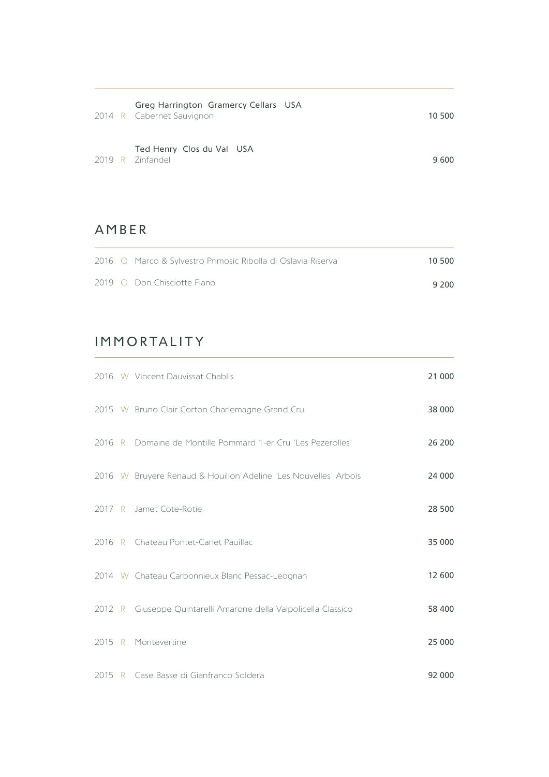|  | Greg Harrington Gramercy Cellars USA<br>2014 R Cabernet Sauvignon | 10 500 |
|--|-------------------------------------------------------------------|--------|
|  | Ted Henry Clos du Val USA<br>2019 R Zinfandel                     | 9 600  |

#### AMBER

|  | 2016 O Marco & Sylvestro Primosic Ribolla di Oslavia Riserva | 10 500 |
|--|--------------------------------------------------------------|--------|
|  | 2019 O Don Chisciotte Fiano                                  | 9 200  |

# IMMORTALITY

|  | 2016 W Vincent Dauvissat Chablis                                | 21 000 |
|--|-----------------------------------------------------------------|--------|
|  | 2015 W Bruno Clair Corton Charlemagne Grand Cru                 | 38 000 |
|  | 2016 R Domaine de Montille Pommard 1-er Cru 'Les Pezerolles'    | 26 200 |
|  | 2016 W Bruyere Renaud & Houillon Adeline 'Les Nouvelles' Arbois | 24 000 |
|  | 2017 R Jamet Cote-Rotie                                         | 28 500 |
|  | 2016 R Chateau Pontet-Canet Pauillac                            | 35 000 |
|  | 2014 W Chateau Carbonnieux Blanc Pessac-Leognan                 | 12 600 |
|  | 2012 R Giuseppe Quintarelli Amarone della Valpolicella Classico | 58 400 |
|  | 2015 R Montevertine                                             | 25 000 |
|  | 2015 R Case Basse di Gianfranco Soldera                         | 92 000 |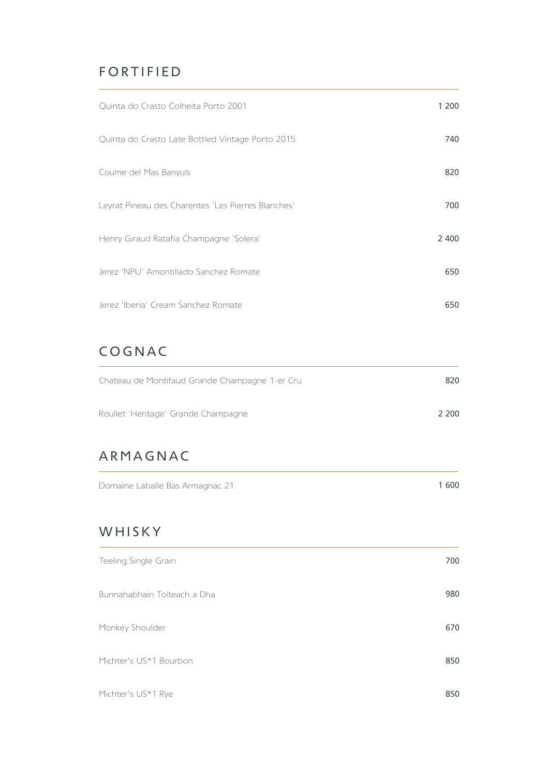## FORTIFIED

| Quinta do Crasto Colheita Porto 2001               | 1 200 |
|----------------------------------------------------|-------|
| Quinta do Crasto Late Bottled Vintage Porto 2015   | 740   |
| Coume del Mas Banyuls                              | 820   |
| Leyrat Pineau des Charentes 'Les Pierres Blanches' | 700   |
| Henry Giraud Ratafia Champagne 'Solera'            | 2 400 |
| Jerez 'NPU' Amontillado Sanchez Romate             | 650   |
| Jerez 'Iberia' Cream Sanchez Romate                | 650   |

## COGNAC

| Chateau de Montifaud Grande Champagne 1-er Cru | 820   |
|------------------------------------------------|-------|
| Roullet 'Heritage' Grande Champagne            | 2.200 |

## ARMAGNAC

| Domaine Laballe Bas Armagnac 21 | 1 600 |
|---------------------------------|-------|
|---------------------------------|-------|

<u> 1980 - Johann Barbara, martxa a</u>

#### WHISKY

| Teeling Single Grain        | 700 |
|-----------------------------|-----|
| Bunnahabhain Toiteach a Dha | 980 |
| Monkey Shoulder             | 670 |
| Michter's US*1 Bourbon      | 850 |
| Michter's US*1 Rye          | 850 |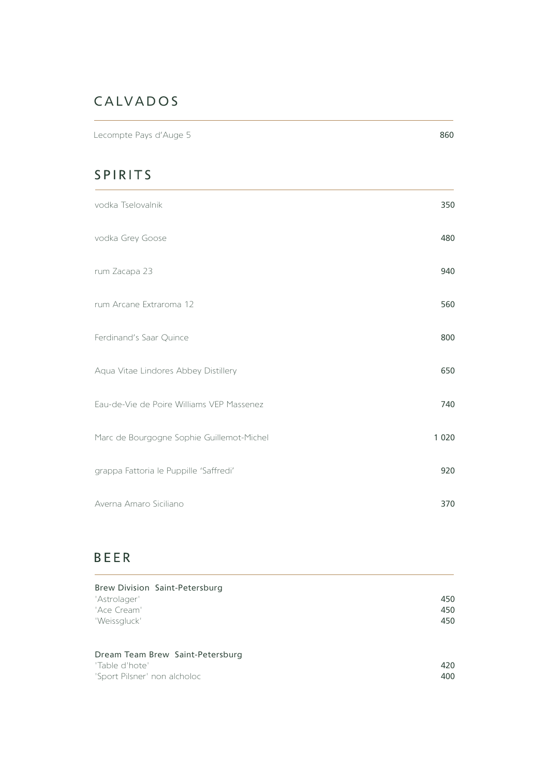# CALVADOS

Lecompte Pays d'Auge 5 860

## SPIRITS

| vodka Tselovalnik                         | 350     |
|-------------------------------------------|---------|
| vodka Grey Goose                          | 480     |
| rum Zacapa 23                             | 940     |
| rum Arcane Extraroma 12                   | 560     |
| Ferdinand's Saar Quince                   | 800     |
| Aqua Vitae Lindores Abbey Distillery      | 650     |
| Eau-de-Vie de Poire Williams VEP Massenez | 740     |
| Marc de Bourgogne Sophie Guillemot-Michel | 1 0 2 0 |
| grappa Fattoria le Puppille 'Saffredi'    | 920     |
| Averna Amaro Siciliano                    | 370     |

## **BEER**

| Brew Division Saint-Petersburg<br>'Astrolager'<br>'Ace Cream'<br>'Weissgluck'      | 450<br>450<br>450 |
|------------------------------------------------------------------------------------|-------------------|
| Dream Team Brew Saint-Petersburg<br>'Table d'hote'<br>'Sport Pilsner' non alcholoc | 420<br>400        |